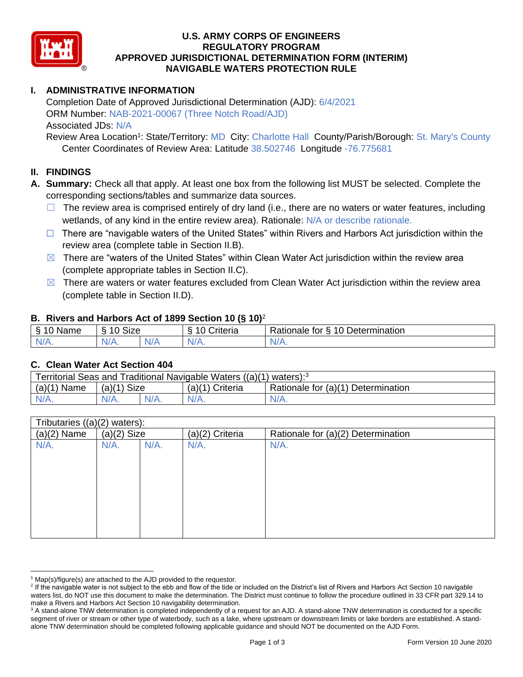

### **U.S. ARMY CORPS OF ENGINEERS REGULATORY PROGRAM APPROVED JURISDICTIONAL DETERMINATION FORM (INTERIM) NAVIGABLE WATERS PROTECTION RULE**

### **I. ADMINISTRATIVE INFORMATION**

Completion Date of Approved Jurisdictional Determination (AJD): 6/4/2021 ORM Number: NAB-2021-00067 (Three Notch Road/AJD) Associated JDs: N/A

Review Area Location<sup>1</sup>: State/Territory: MD City: Charlotte Hall County/Parish/Borough: St. Mary's County Center Coordinates of Review Area: Latitude 38.502746 Longitude -76.775681

#### **II. FINDINGS**

- **A. Summary:** Check all that apply. At least one box from the following list MUST be selected. Complete the corresponding sections/tables and summarize data sources.
	- $\Box$  The review area is comprised entirely of dry land (i.e., there are no waters or water features, including wetlands, of any kind in the entire review area). Rationale: N/A or describe rationale.
	- $\Box$  There are "navigable waters of the United States" within Rivers and Harbors Act jurisdiction within the review area (complete table in Section II.B).
	- $\boxtimes$  There are "waters of the United States" within Clean Water Act jurisdiction within the review area (complete appropriate tables in Section II.C).
	- $\boxtimes$  There are waters or water features excluded from Clean Water Act jurisdiction within the review area (complete table in Section II.D).

#### **B. Rivers and Harbors Act of 1899 Section 10 (§ 10)**<sup>2</sup>

| ε<br>name<br>- 1 | $\sim$ $\sim$ $\sim$<br>$\sim$<br>◢<br>SIZE |     | . .<br>`riteria<br>. . | Determination<br>10<br>-<br>-<br>tor<br>ationale *,<br>. . |
|------------------|---------------------------------------------|-----|------------------------|------------------------------------------------------------|
| N/L<br>$\cdots$  | ,,<br>N/A.                                  | N/F | 'N/A.                  | W.<br>.                                                    |

#### **C. Clean Water Act Section 404**

| Territorial Seas and Traditional Navigable Waters $((a)(1)$ waters): <sup>3</sup> |                |  |                   |                                    |  |
|-----------------------------------------------------------------------------------|----------------|--|-------------------|------------------------------------|--|
| (a)(1)<br>Name                                                                    | Size<br>(a)(1) |  | $(a)(1)$ Criteria | Rationale for (a)(1) Determination |  |
| $N/A$ .                                                                           | $N/A$ .        |  | $N/A$ .           | $N/A$ .                            |  |

| Tributaries ((a)(2) waters): |         |                 |                                    |  |
|------------------------------|---------|-----------------|------------------------------------|--|
| $(a)(2)$ Size                |         | (a)(2) Criteria | Rationale for (a)(2) Determination |  |
| $N/A$ .                      | $N/A$ . | $N/A$ .         | $N/A$ .                            |  |
|                              |         |                 |                                    |  |
|                              |         |                 |                                    |  |
|                              |         |                 |                                    |  |
|                              |         |                 |                                    |  |
|                              |         |                 |                                    |  |
|                              |         |                 |                                    |  |
|                              |         |                 |                                    |  |
|                              |         |                 |                                    |  |
|                              |         |                 |                                    |  |

 $1$  Map(s)/figure(s) are attached to the AJD provided to the requestor.

<sup>&</sup>lt;sup>2</sup> If the navigable water is not subject to the ebb and flow of the tide or included on the District's list of Rivers and Harbors Act Section 10 navigable waters list, do NOT use this document to make the determination. The District must continue to follow the procedure outlined in 33 CFR part 329.14 to make a Rivers and Harbors Act Section 10 navigability determination.

<sup>&</sup>lt;sup>3</sup> A stand-alone TNW determination is completed independently of a request for an AJD. A stand-alone TNW determination is conducted for a specific segment of river or stream or other type of waterbody, such as a lake, where upstream or downstream limits or lake borders are established. A standalone TNW determination should be completed following applicable guidance and should NOT be documented on the AJD Form.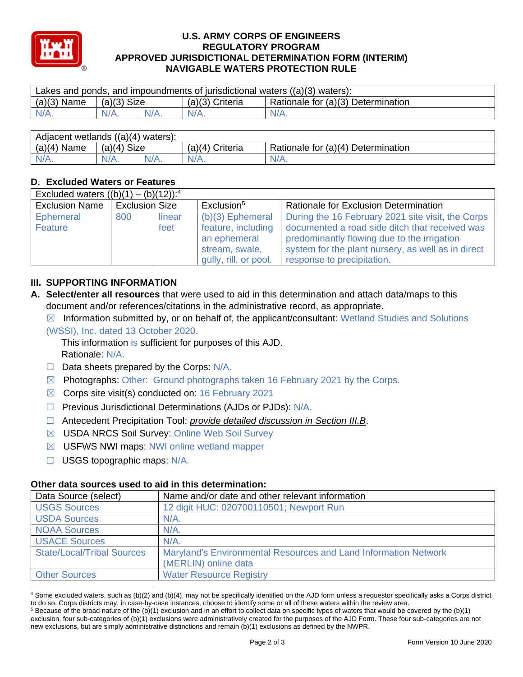

#### **U.S. ARMY CORPS OF ENGINEERS REGULATORY PROGRAM APPROVED JURISDICTIONAL DETERMINATION FORM (INTERIM) NAVIGABLE WATERS PROTECTION RULE**

| Lakes and ponds, and impoundments of jurisdictional waters $((a)(3)$ waters): |               |         |                   |                                    |  |
|-------------------------------------------------------------------------------|---------------|---------|-------------------|------------------------------------|--|
| $(a)(3)$ Name                                                                 | $(a)(3)$ Size |         | $(a)(3)$ Criteria | Rationale for (a)(3) Determination |  |
| $N/A$ .                                                                       | $N/A$ .       | $N/A$ . | $N/A$ .           | $N/A$ .                            |  |
|                                                                               |               |         |                   |                                    |  |

| Adjacent wetlands $((a)(4)$ waters): |                       |         |                    |                                    |  |
|--------------------------------------|-----------------------|---------|--------------------|------------------------------------|--|
| $(a)(4)$ Name                        | <b>Size</b><br>(a)(4) |         | Criteria<br>(a)(4) | Rationale for (a)(4) Determination |  |
| $N/A$ .                              | $N/A$ .               | $N/A$ . |                    | $N/A$ .                            |  |

## **D. Excluded Waters or Features**

| Excluded waters $((b)(1) - (b)(12))$ : <sup>4</sup> |                       |                |                                                                                                     |                                                                                                                                                                                                                                        |  |
|-----------------------------------------------------|-----------------------|----------------|-----------------------------------------------------------------------------------------------------|----------------------------------------------------------------------------------------------------------------------------------------------------------------------------------------------------------------------------------------|--|
| <b>Exclusion Name</b>                               | <b>Exclusion Size</b> |                | Exclusion <sup>5</sup>                                                                              | Rationale for Exclusion Determination                                                                                                                                                                                                  |  |
| Ephemeral<br>Feature                                | 800                   | linear<br>feet | $(b)(3)$ Ephemeral<br>feature, including<br>an ephemeral<br>stream, swale,<br>gully, rill, or pool. | During the 16 February 2021 site visit, the Corps<br>documented a road side ditch that received was<br>predominantly flowing due to the irrigation<br>system for the plant nursery, as well as in direct<br>response to precipitation. |  |

## **III. SUPPORTING INFORMATION**

- **A. Select/enter all resources** that were used to aid in this determination and attach data/maps to this document and/or references/citations in the administrative record, as appropriate.
	- $\boxtimes$  Information submitted by, or on behalf of, the applicant/consultant: Wetland Studies and Solutions (WSSI), Inc. dated 13 October 2020.
		- This information is sufficient for purposes of this AJD. Rationale: N/A.
	- $\Box$  Data sheets prepared by the Corps:  $N/A$ .
	- $\boxtimes$  Photographs: Other: Ground photographs taken 16 February 2021 by the Corps.
	- $\boxtimes$  Corps site visit(s) conducted on: 16 February 2021
	- ☐ Previous Jurisdictional Determinations (AJDs or PJDs): N/A.
	- ☐ Antecedent Precipitation Tool: *provide detailed discussion in Section III.B*.
	- ☒ USDA NRCS Soil Survey: Online Web Soil Survey
	- ☒ USFWS NWI maps: NWI online wetland mapper
	- ☐ USGS topographic maps: N/A.

# **Other data sources used to aid in this determination:**

| Data Source (select)              | Name and/or date and other relevant information                 |
|-----------------------------------|-----------------------------------------------------------------|
| <b>USGS Sources</b>               | 12 digit HUC: 020700110501; Newport Run                         |
| <b>USDA Sources</b>               | $N/A$ .                                                         |
| <b>NOAA Sources</b>               | $N/A$ .                                                         |
| <b>USACE Sources</b>              | $N/A$ .                                                         |
| <b>State/Local/Tribal Sources</b> | Maryland's Environmental Resources and Land Information Network |
|                                   | (MERLIN) online data                                            |
| <b>Other Sources</b>              | <b>Water Resource Registry</b>                                  |

<sup>4</sup> Some excluded waters, such as (b)(2) and (b)(4), may not be specifically identified on the AJD form unless a requestor specifically asks a Corps district to do so. Corps districts may, in case-by-case instances, choose to identify some or all of these waters within the review area.

 $5$  Because of the broad nature of the (b)(1) exclusion and in an effort to collect data on specific types of waters that would be covered by the (b)(1) exclusion, four sub-categories of (b)(1) exclusions were administratively created for the purposes of the AJD Form. These four sub-categories are not new exclusions, but are simply administrative distinctions and remain (b)(1) exclusions as defined by the NWPR.